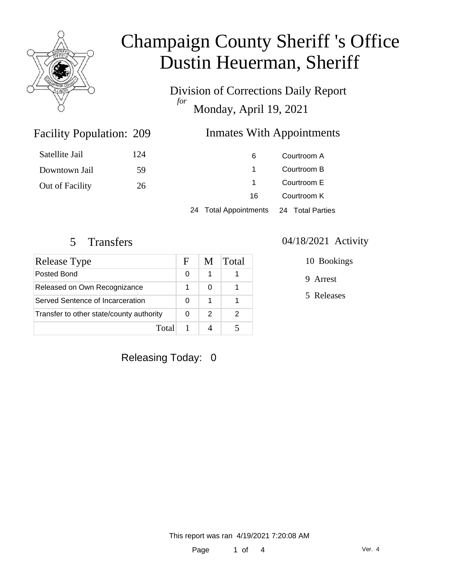

Division of Corrections Daily Report *for* Monday, April 19, 2021

#### Inmates With Appointments

| Satellite Jail  | 124 | 6                     | Courtroom A      |
|-----------------|-----|-----------------------|------------------|
| Downtown Jail   | 59  |                       | Courtroom B      |
| Out of Facility | 26  |                       | Courtroom E      |
|                 |     | 16                    | Courtroom K      |
|                 |     | 24 Total Appointments | 24 Total Parties |

Facility Population: 209

| Release Type                             |  | M | Total |
|------------------------------------------|--|---|-------|
| Posted Bond                              |  |   |       |
| Released on Own Recognizance             |  |   |       |
| Served Sentence of Incarceration         |  |   |       |
| Transfer to other state/county authority |  | 2 | 2     |
| Total                                    |  |   |       |

#### 5 Transfers 04/18/2021 Activity

10 Bookings

9 Arrest

5 Releases

Releasing Today: 0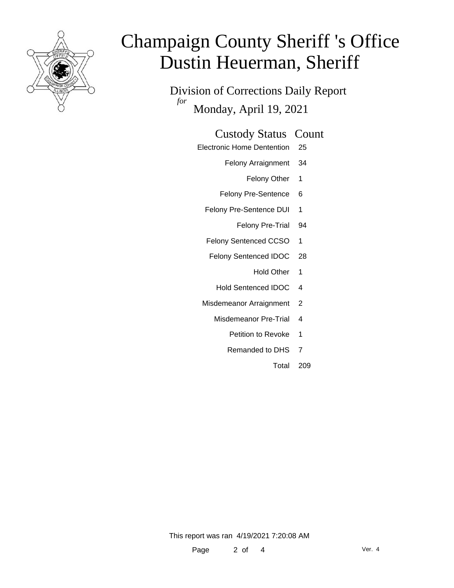

Division of Corrections Daily Report *for* Monday, April 19, 2021

#### Custody Status Count

- Electronic Home Dentention 25
	- Felony Arraignment 34
		- Felony Other 1
	- Felony Pre-Sentence 6
	- Felony Pre-Sentence DUI 1
		- Felony Pre-Trial 94
	- Felony Sentenced CCSO 1
	- Felony Sentenced IDOC 28
		- Hold Other 1
		- Hold Sentenced IDOC 4
	- Misdemeanor Arraignment 2
		- Misdemeanor Pre-Trial 4
			- Petition to Revoke 1
			- Remanded to DHS 7
				- Total 209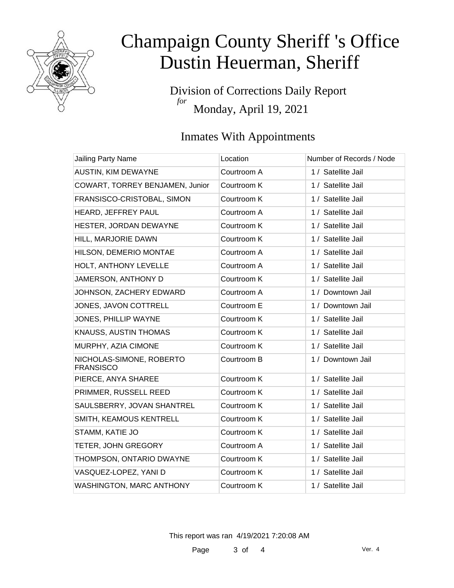

Division of Corrections Daily Report *for* Monday, April 19, 2021

### Inmates With Appointments

| <b>Jailing Party Name</b>                    | Location    | Number of Records / Node |
|----------------------------------------------|-------------|--------------------------|
| <b>AUSTIN, KIM DEWAYNE</b>                   | Courtroom A | 1 / Satellite Jail       |
| COWART, TORREY BENJAMEN, Junior              | Courtroom K | 1 / Satellite Jail       |
| FRANSISCO-CRISTOBAL, SIMON                   | Courtroom K | 1 / Satellite Jail       |
| HEARD, JEFFREY PAUL                          | Courtroom A | 1 / Satellite Jail       |
| HESTER, JORDAN DEWAYNE                       | Courtroom K | 1 / Satellite Jail       |
| HILL, MARJORIE DAWN                          | Courtroom K | 1 / Satellite Jail       |
| HILSON, DEMERIO MONTAE                       | Courtroom A | 1 / Satellite Jail       |
| HOLT, ANTHONY LEVELLE                        | Courtroom A | 1 / Satellite Jail       |
| JAMERSON, ANTHONY D                          | Courtroom K | 1 / Satellite Jail       |
| JOHNSON, ZACHERY EDWARD                      | Courtroom A | 1 / Downtown Jail        |
| JONES, JAVON COTTRELL                        | Courtroom E | 1 / Downtown Jail        |
| JONES, PHILLIP WAYNE                         | Courtroom K | 1 / Satellite Jail       |
| KNAUSS, AUSTIN THOMAS                        | Courtroom K | 1 / Satellite Jail       |
| MURPHY, AZIA CIMONE                          | Courtroom K | 1 / Satellite Jail       |
| NICHOLAS-SIMONE, ROBERTO<br><b>FRANSISCO</b> | Courtroom B | 1 / Downtown Jail        |
| PIERCE, ANYA SHAREE                          | Courtroom K | 1 / Satellite Jail       |
| PRIMMER, RUSSELL REED                        | Courtroom K | 1 / Satellite Jail       |
| SAULSBERRY, JOVAN SHANTREL                   | Courtroom K | 1 / Satellite Jail       |
| SMITH, KEAMOUS KENTRELL                      | Courtroom K | 1 / Satellite Jail       |
| STAMM, KATIE JO                              | Courtroom K | 1 / Satellite Jail       |
| TETER, JOHN GREGORY                          | Courtroom A | 1 / Satellite Jail       |
| THOMPSON, ONTARIO DWAYNE                     | Courtroom K | 1 / Satellite Jail       |
| VASQUEZ-LOPEZ, YANI D                        | Courtroom K | 1 / Satellite Jail       |
| WASHINGTON, MARC ANTHONY                     | Courtroom K | 1 / Satellite Jail       |